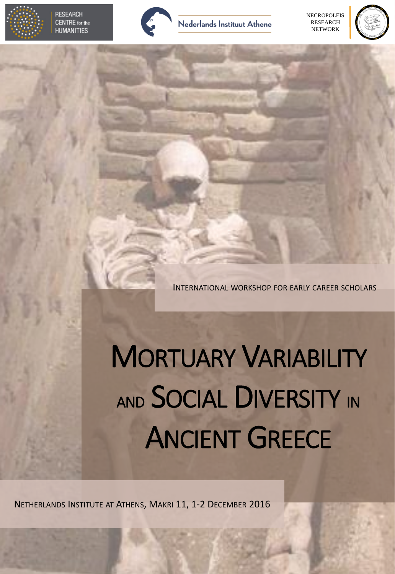

**RESEARCH CENTRE** for the **HUMANITIES** 



#### **Nederlands Instituut Athene**

## ANCIENT GREECE

INTERNATIONAL WORKSHOP FOR EARLY CAREER SCHOLARS

# MORTUARY VARIABILITY AND SOCIAL DIVERSITY IN

**NECROPOLEIS** RESEARCH NETWORK



#### NETHERLANDS INSTITUTE AT ATHENS, MAKRI 11, 1-2 DECEMBER 2016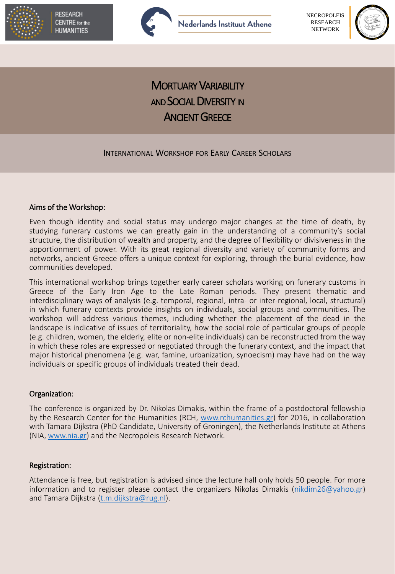



#### Aims of the Workshop:

Even though identity and social status may undergo major changes at the time of death, by studying funerary customs we can greatly gain in the understanding of a community's social structure, the distribution of wealth and property, and the degree of flexibility or divisiveness in the apportionment of power. With its great regional diversity and variety of community forms and networks, ancient Greece offers a unique context for exploring, through the burial evidence, how communities developed.

Attendance is free, but registration is advised since the lecture hall only holds 50 people. For more information and to register please contact the organizers Nikolas Dimakis ([nikdim26@yahoo.gr](mailto:nikdim26@yahoo.gr)) and Tamara Dijkstra [\(t.m.dijkstra@rug.nl\)](mailto:t.m.dijkstra@rug.nl).

This international workshop brings together early career scholars working on funerary customs in Greece of the Early Iron Age to the Late Roman periods. They present thematic and interdisciplinary ways of analysis (e.g. temporal, regional, intra- or inter-regional, local, structural) in which funerary contexts provide insights on individuals, social groups and communities. The workshop will address various themes, including whether the placement of the dead in the landscape is indicative of issues of territoriality, how the social role of particular groups of people (e.g. children, women, the elderly, elite or non-elite individuals) can be reconstructed from the way in which these roles are expressed or negotiated through the funerary context, and the impact that major historical phenomena (e.g. war, famine, urbanization, synoecism) may have had on the way individuals or specific groups of individuals treated their dead.



**MORTUARY VARIABILITY AND SOCIAL DIVERSITY IN ANCIENT GREECE** 

#### Organization:

The conference is organized by Dr. Nikolas Dimakis, within the frame of a postdoctoral fellowship by the Research Center for the Humanities (RCH, [www.rchumanities.gr\)](http://rchumanities.us10.list-manage.com/track/click?u=a3cb71490195cd889ddd18365&id=7555e02b33&e=1622d4de73) for 2016, in collaboration with Tamara Dijkstra (PhD Candidate, University of Groningen), the Netherlands Institute at Athens (NIA, [www.nia.gr\)](http://www.nia.gr/) and the Necropoleis Research Network.

#### Registration:

#### INTERNATIONAL WORKSHOP FOR EARLY CAREER SCHOLARS